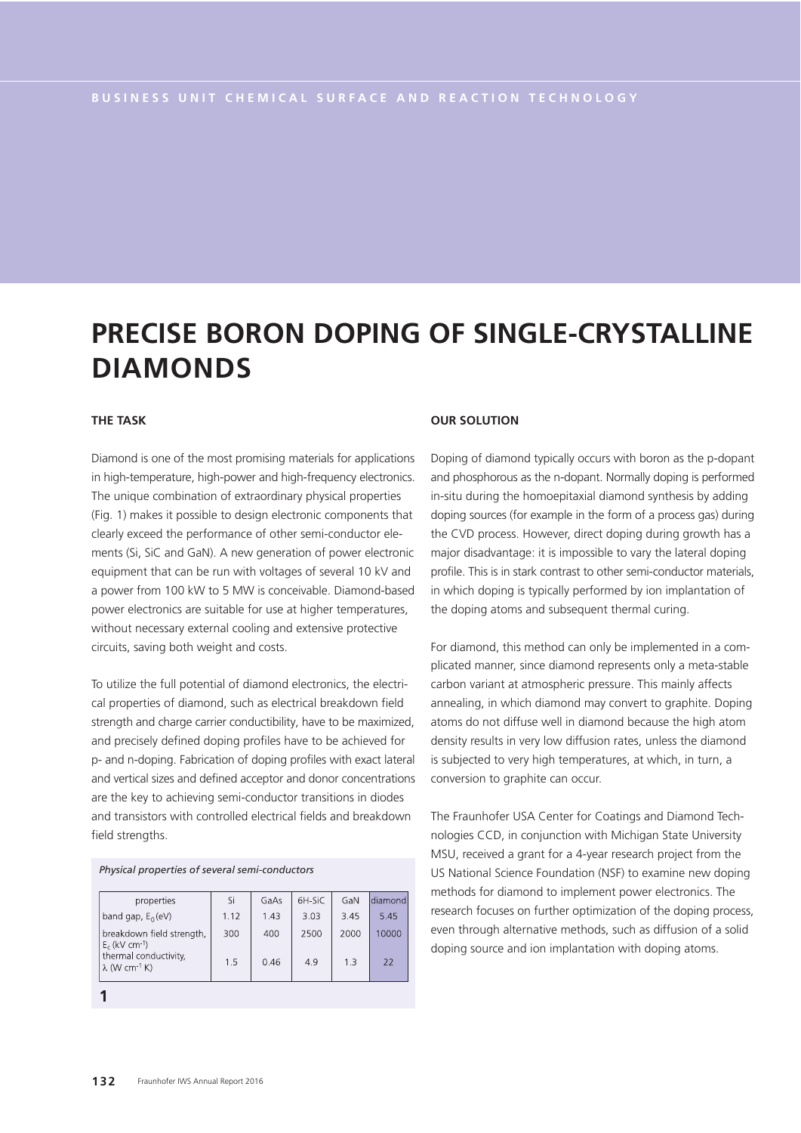# **PRECISE BORON DOPING OF SINGLE-CRYSTALLINE DIAMONDS**

## **THE TASK**

Diamond is one of the most promising materials for applications in high-temperature, high-power and high-frequency electronics. The unique combination of extraordinary physical properties (Fig. 1) makes it possible to design electronic components that clearly exceed the performance of other semi-conductor elements (Si, SiC and GaN). A new generation of power electronic equipment that can be run with voltages of several 10 kV and a power from 100 kW to 5 MW is conceivable. Diamond-based power electronics are suitable for use at higher temperatures, without necessary external cooling and extensive protective circuits, saving both weight and costs.

To utilize the full potential of diamond electronics, the electrical properties of diamond, such as electrical breakdown field strength and charge carrier conductibility, have to be maximized, and precisely defined doping profiles have to be achieved for p- and n-doping. Fabrication of doping profiles with exact lateral and vertical sizes and defined acceptor and donor concentrations are the key to achieving semi-conductor transitions in diodes and transistors with controlled electrical fields and breakdown field strengths.

*Physical properties of several semi-conductors*

| properties                                                | Si   | GaAs | 6H-SiC | GaN  | ldiamond |
|-----------------------------------------------------------|------|------|--------|------|----------|
| band gap, $E_0$ (eV)                                      | 1.12 | 1.43 | 3.03   | 3.45 | 5.45     |
| breakdown field strength,<br>$E_c$ (kV cm-1)              | 300  | 400  | 2500   | 2000 | 10000    |
| thermal conductivity,<br>$\lambda$ (W cm <sup>-1</sup> K) | 1.5  | 0.46 | 4.9    | 1.3  | 22       |
|                                                           |      |      |        |      |          |

### **OUR SOLUTION**

Doping of diamond typically occurs with boron as the p-dopant and phosphorous as the n-dopant. Normally doping is performed in-situ during the homoepitaxial diamond synthesis by adding doping sources (for example in the form of a process gas) during the CVD process. However, direct doping during growth has a major disadvantage: it is impossible to vary the lateral doping profile. This is in stark contrast to other semi-conductor materials, in which doping is typically performed by ion implantation of the doping atoms and subsequent thermal curing.

For diamond, this method can only be implemented in a complicated manner, since diamond represents only a meta-stable carbon variant at atmospheric pressure. This mainly affects annealing, in which diamond may convert to graphite. Doping atoms do not diffuse well in diamond because the high atom density results in very low diffusion rates, unless the diamond is subjected to very high temperatures, at which, in turn, a conversion to graphite can occur.

The Fraunhofer USA Center for Coatings and Diamond Technologies CCD, in conjunction with Michigan State University MSU, received a grant for a 4-year research project from the US National Science Foundation (NSF) to examine new doping methods for diamond to implement power electronics. The research focuses on further optimization of the doping process, even through alternative methods, such as diffusion of a solid doping source and ion implantation with doping atoms.